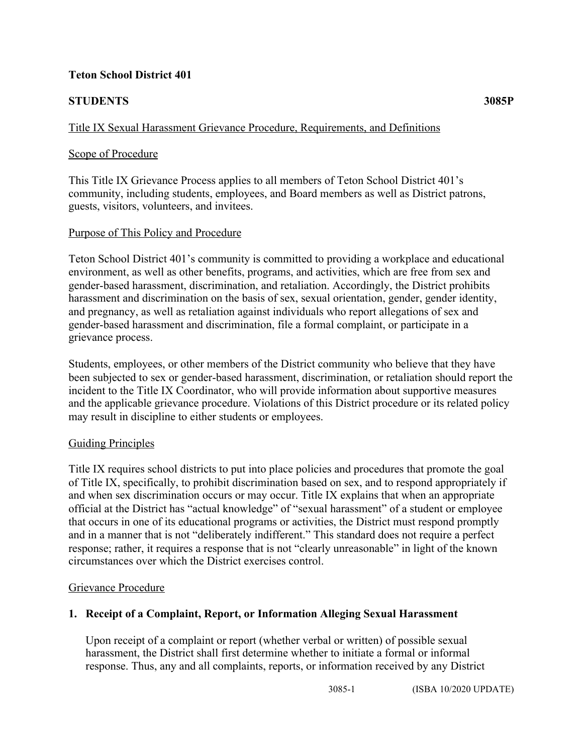### **Teton School District 401**

# **STUDENTS 3085P**

## Title IX Sexual Harassment Grievance Procedure, Requirements, and Definitions

### Scope of Procedure

This Title IX Grievance Process applies to all members of Teton School District 401's community, including students, employees, and Board members as well as District patrons, guests, visitors, volunteers, and invitees.

### Purpose of This Policy and Procedure

Teton School District 401's community is committed to providing a workplace and educational environment, as well as other benefits, programs, and activities, which are free from sex and gender-based harassment, discrimination, and retaliation. Accordingly, the District prohibits harassment and discrimination on the basis of sex, sexual orientation, gender, gender identity, and pregnancy, as well as retaliation against individuals who report allegations of sex and gender-based harassment and discrimination, file a formal complaint, or participate in a grievance process.

Students, employees, or other members of the District community who believe that they have been subjected to sex or gender-based harassment, discrimination, or retaliation should report the incident to the Title IX Coordinator, who will provide information about supportive measures and the applicable grievance procedure. Violations of this District procedure or its related policy may result in discipline to either students or employees.

### Guiding Principles

Title IX requires school districts to put into place policies and procedures that promote the goal of Title IX, specifically, to prohibit discrimination based on sex, and to respond appropriately if and when sex discrimination occurs or may occur. Title IX explains that when an appropriate official at the District has "actual knowledge" of "sexual harassment" of a student or employee that occurs in one of its educational programs or activities, the District must respond promptly and in a manner that is not "deliberately indifferent." This standard does not require a perfect response; rather, it requires a response that is not "clearly unreasonable" in light of the known circumstances over which the District exercises control.

### Grievance Procedure

### **1. Receipt of a Complaint, Report, or Information Alleging Sexual Harassment**

Upon receipt of a complaint or report (whether verbal or written) of possible sexual harassment, the District shall first determine whether to initiate a formal or informal response. Thus, any and all complaints, reports, or information received by any District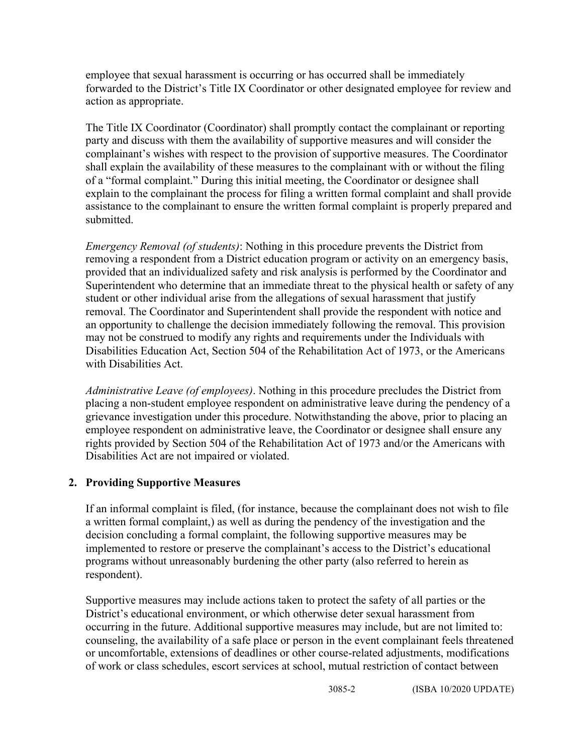employee that sexual harassment is occurring or has occurred shall be immediately forwarded to the District's Title IX Coordinator or other designated employee for review and action as appropriate.

The Title IX Coordinator (Coordinator) shall promptly contact the complainant or reporting party and discuss with them the availability of supportive measures and will consider the complainant's wishes with respect to the provision of supportive measures. The Coordinator shall explain the availability of these measures to the complainant with or without the filing of a "formal complaint." During this initial meeting, the Coordinator or designee shall explain to the complainant the process for filing a written formal complaint and shall provide assistance to the complainant to ensure the written formal complaint is properly prepared and submitted.

*Emergency Removal (of students)*: Nothing in this procedure prevents the District from removing a respondent from a District education program or activity on an emergency basis, provided that an individualized safety and risk analysis is performed by the Coordinator and Superintendent who determine that an immediate threat to the physical health or safety of any student or other individual arise from the allegations of sexual harassment that justify removal. The Coordinator and Superintendent shall provide the respondent with notice and an opportunity to challenge the decision immediately following the removal. This provision may not be construed to modify any rights and requirements under the Individuals with Disabilities Education Act, Section 504 of the Rehabilitation Act of 1973, or the Americans with Disabilities Act.

*Administrative Leave (of employees)*. Nothing in this procedure precludes the District from placing a non-student employee respondent on administrative leave during the pendency of a grievance investigation under this procedure. Notwithstanding the above, prior to placing an employee respondent on administrative leave, the Coordinator or designee shall ensure any rights provided by Section 504 of the Rehabilitation Act of 1973 and/or the Americans with Disabilities Act are not impaired or violated.

### **2. Providing Supportive Measures**

If an informal complaint is filed, (for instance, because the complainant does not wish to file a written formal complaint,) as well as during the pendency of the investigation and the decision concluding a formal complaint, the following supportive measures may be implemented to restore or preserve the complainant's access to the District's educational programs without unreasonably burdening the other party (also referred to herein as respondent).

Supportive measures may include actions taken to protect the safety of all parties or the District's educational environment, or which otherwise deter sexual harassment from occurring in the future. Additional supportive measures may include, but are not limited to: counseling, the availability of a safe place or person in the event complainant feels threatened or uncomfortable, extensions of deadlines or other course-related adjustments, modifications of work or class schedules, escort services at school, mutual restriction of contact between

3085-2 (ISBA 10/2020 UPDATE)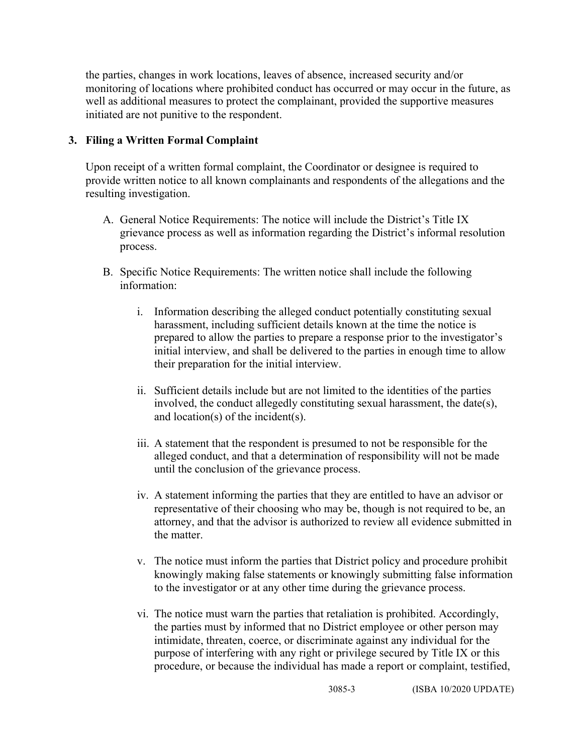the parties, changes in work locations, leaves of absence, increased security and/or monitoring of locations where prohibited conduct has occurred or may occur in the future, as well as additional measures to protect the complainant, provided the supportive measures initiated are not punitive to the respondent.

### **3. Filing a Written Formal Complaint**

Upon receipt of a written formal complaint, the Coordinator or designee is required to provide written notice to all known complainants and respondents of the allegations and the resulting investigation.

- A. General Notice Requirements: The notice will include the District's Title IX grievance process as well as information regarding the District's informal resolution process.
- B. Specific Notice Requirements: The written notice shall include the following information:
	- i. Information describing the alleged conduct potentially constituting sexual harassment, including sufficient details known at the time the notice is prepared to allow the parties to prepare a response prior to the investigator's initial interview, and shall be delivered to the parties in enough time to allow their preparation for the initial interview.
	- ii. Sufficient details include but are not limited to the identities of the parties involved, the conduct allegedly constituting sexual harassment, the date(s), and location(s) of the incident(s).
	- iii. A statement that the respondent is presumed to not be responsible for the alleged conduct, and that a determination of responsibility will not be made until the conclusion of the grievance process.
	- iv. A statement informing the parties that they are entitled to have an advisor or representative of their choosing who may be, though is not required to be, an attorney, and that the advisor is authorized to review all evidence submitted in the matter.
	- v. The notice must inform the parties that District policy and procedure prohibit knowingly making false statements or knowingly submitting false information to the investigator or at any other time during the grievance process.
	- vi. The notice must warn the parties that retaliation is prohibited. Accordingly, the parties must by informed that no District employee or other person may intimidate, threaten, coerce, or discriminate against any individual for the purpose of interfering with any right or privilege secured by Title IX or this procedure, or because the individual has made a report or complaint, testified,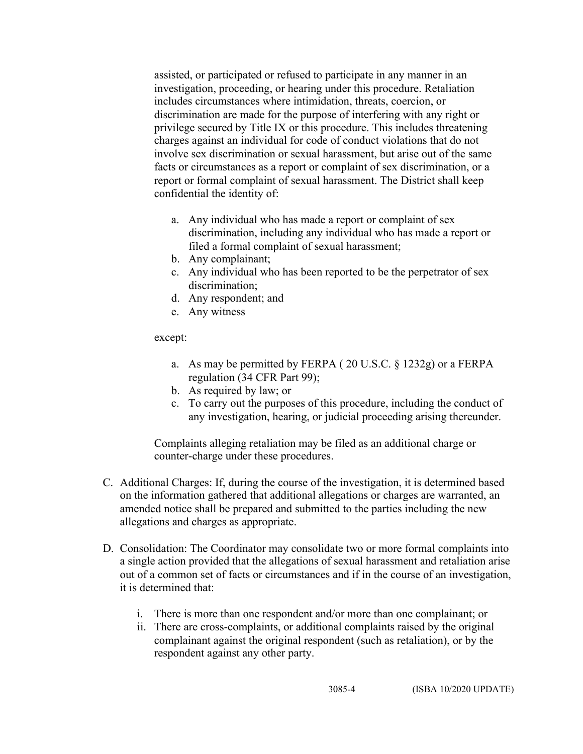assisted, or participated or refused to participate in any manner in an investigation, proceeding, or hearing under this procedure. Retaliation includes circumstances where intimidation, threats, coercion, or discrimination are made for the purpose of interfering with any right or privilege secured by Title IX or this procedure. This includes threatening charges against an individual for code of conduct violations that do not involve sex discrimination or sexual harassment, but arise out of the same facts or circumstances as a report or complaint of sex discrimination, or a report or formal complaint of sexual harassment. The District shall keep confidential the identity of:

- a. Any individual who has made a report or complaint of sex discrimination, including any individual who has made a report or filed a formal complaint of sexual harassment;
- b. Any complainant;
- c. Any individual who has been reported to be the perpetrator of sex discrimination:
- d. Any respondent; and
- e. Any witness

#### except:

- a. As may be permitted by FERPA ( 20 U.S.C. § 1232g) or a FERPA regulation (34 CFR Part 99);
- b. As required by law; or
- c. To carry out the purposes of this procedure, including the conduct of any investigation, hearing, or judicial proceeding arising thereunder.

Complaints alleging retaliation may be filed as an additional charge or counter-charge under these procedures.

- C. Additional Charges: If, during the course of the investigation, it is determined based on the information gathered that additional allegations or charges are warranted, an amended notice shall be prepared and submitted to the parties including the new allegations and charges as appropriate.
- D. Consolidation: The Coordinator may consolidate two or more formal complaints into a single action provided that the allegations of sexual harassment and retaliation arise out of a common set of facts or circumstances and if in the course of an investigation, it is determined that:
	- i. There is more than one respondent and/or more than one complainant; or
	- ii. There are cross-complaints, or additional complaints raised by the original complainant against the original respondent (such as retaliation), or by the respondent against any other party.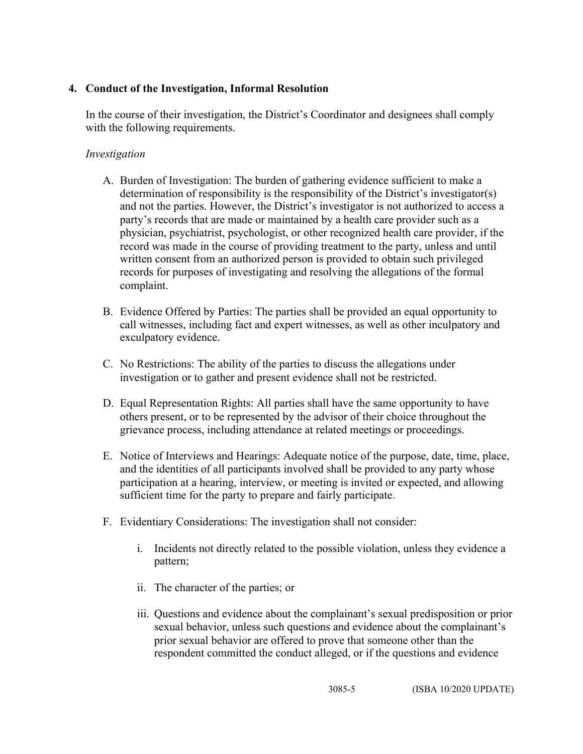### **4. Conduct of the Investigation, Informal Resolution**

In the course of their investigation, the District's Coordinator and designees shall comply with the following requirements.

### *Investigation*

- A. Burden of Investigation: The burden of gathering evidence sufficient to make a determination of responsibility is the responsibility of the District's investigator(s) and not the parties. However, the District's investigator is not authorized to access a party's records that are made or maintained by a health care provider such as a physician, psychiatrist, psychologist, or other recognized health care provider, if the record was made in the course of providing treatment to the party, unless and until written consent from an authorized person is provided to obtain such privileged records for purposes of investigating and resolving the allegations of the formal complaint.
- B. Evidence Offered by Parties: The parties shall be provided an equal opportunity to call witnesses, including fact and expert witnesses, as well as other inculpatory and exculpatory evidence.
- C. No Restrictions: The ability of the parties to discuss the allegations under investigation or to gather and present evidence shall not be restricted.
- D. Equal Representation Rights: All parties shall have the same opportunity to have others present, or to be represented by the advisor of their choice throughout the grievance process, including attendance at related meetings or proceedings.
- E. Notice of Interviews and Hearings: Adequate notice of the purpose, date, time, place, and the identities of all participants involved shall be provided to any party whose participation at a hearing, interview, or meeting is invited or expected, and allowing sufficient time for the party to prepare and fairly participate.
- F. Evidentiary Considerations: The investigation shall not consider:
	- i. Incidents not directly related to the possible violation, unless they evidence a pattern;
	- ii. The character of the parties; or
	- iii. Questions and evidence about the complainant's sexual predisposition or prior sexual behavior, unless such questions and evidence about the complainant's prior sexual behavior are offered to prove that someone other than the respondent committed the conduct alleged, or if the questions and evidence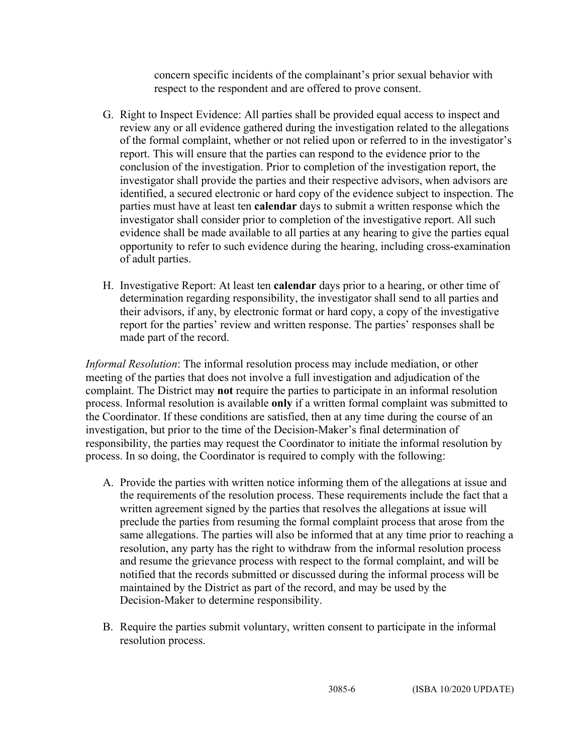concern specific incidents of the complainant's prior sexual behavior with respect to the respondent and are offered to prove consent.

- G. Right to Inspect Evidence: All parties shall be provided equal access to inspect and review any or all evidence gathered during the investigation related to the allegations of the formal complaint, whether or not relied upon or referred to in the investigator's report. This will ensure that the parties can respond to the evidence prior to the conclusion of the investigation. Prior to completion of the investigation report, the investigator shall provide the parties and their respective advisors, when advisors are identified, a secured electronic or hard copy of the evidence subject to inspection. The parties must have at least ten **calendar** days to submit a written response which the investigator shall consider prior to completion of the investigative report. All such evidence shall be made available to all parties at any hearing to give the parties equal opportunity to refer to such evidence during the hearing, including cross-examination of adult parties.
- H. Investigative Report: At least ten **calendar** days prior to a hearing, or other time of determination regarding responsibility, the investigator shall send to all parties and their advisors, if any, by electronic format or hard copy, a copy of the investigative report for the parties' review and written response. The parties' responses shall be made part of the record.

*Informal Resolution*: The informal resolution process may include mediation, or other meeting of the parties that does not involve a full investigation and adjudication of the complaint. The District may **not** require the parties to participate in an informal resolution process. Informal resolution is available **only** if a written formal complaint was submitted to the Coordinator. If these conditions are satisfied, then at any time during the course of an investigation, but prior to the time of the Decision-Maker's final determination of responsibility, the parties may request the Coordinator to initiate the informal resolution by process. In so doing, the Coordinator is required to comply with the following:

- A. Provide the parties with written notice informing them of the allegations at issue and the requirements of the resolution process. These requirements include the fact that a written agreement signed by the parties that resolves the allegations at issue will preclude the parties from resuming the formal complaint process that arose from the same allegations. The parties will also be informed that at any time prior to reaching a resolution, any party has the right to withdraw from the informal resolution process and resume the grievance process with respect to the formal complaint, and will be notified that the records submitted or discussed during the informal process will be maintained by the District as part of the record, and may be used by the Decision-Maker to determine responsibility.
- B. Require the parties submit voluntary, written consent to participate in the informal resolution process.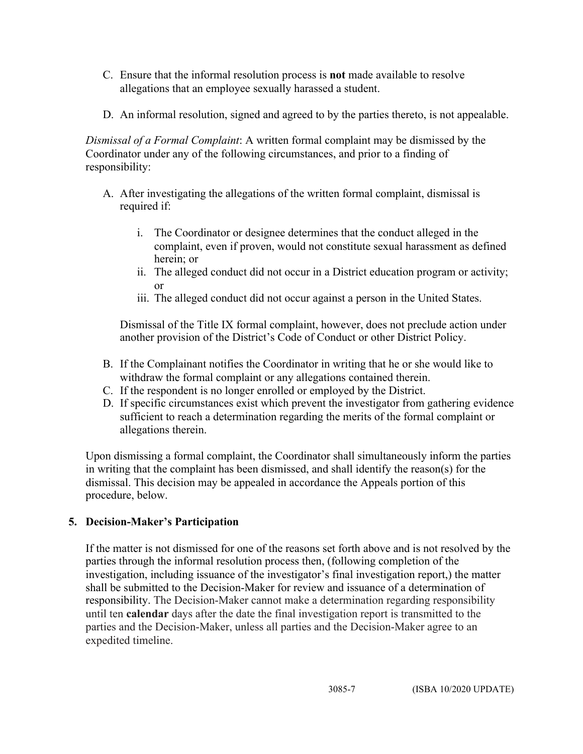- C. Ensure that the informal resolution process is **not** made available to resolve allegations that an employee sexually harassed a student.
- D. An informal resolution, signed and agreed to by the parties thereto, is not appealable.

*Dismissal of a Formal Complaint*: A written formal complaint may be dismissed by the Coordinator under any of the following circumstances, and prior to a finding of responsibility:

- A. After investigating the allegations of the written formal complaint, dismissal is required if:
	- i. The Coordinator or designee determines that the conduct alleged in the complaint, even if proven, would not constitute sexual harassment as defined herein; or
	- ii. The alleged conduct did not occur in a District education program or activity; or
	- iii. The alleged conduct did not occur against a person in the United States.

Dismissal of the Title IX formal complaint, however, does not preclude action under another provision of the District's Code of Conduct or other District Policy.

- B. If the Complainant notifies the Coordinator in writing that he or she would like to withdraw the formal complaint or any allegations contained therein.
- C. If the respondent is no longer enrolled or employed by the District.
- D. If specific circumstances exist which prevent the investigator from gathering evidence sufficient to reach a determination regarding the merits of the formal complaint or allegations therein.

Upon dismissing a formal complaint, the Coordinator shall simultaneously inform the parties in writing that the complaint has been dismissed, and shall identify the reason(s) for the dismissal. This decision may be appealed in accordance the Appeals portion of this procedure, below.

# **5. Decision-Maker's Participation**

If the matter is not dismissed for one of the reasons set forth above and is not resolved by the parties through the informal resolution process then, (following completion of the investigation, including issuance of the investigator's final investigation report,) the matter shall be submitted to the Decision-Maker for review and issuance of a determination of responsibility. The Decision-Maker cannot make a determination regarding responsibility until ten **calendar** days after the date the final investigation report is transmitted to the parties and the Decision-Maker, unless all parties and the Decision-Maker agree to an expedited timeline.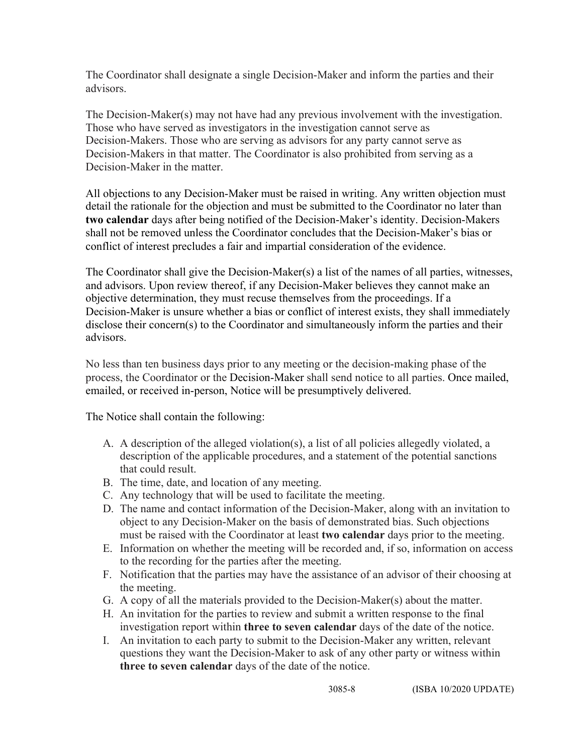The Coordinator shall designate a single Decision-Maker and inform the parties and their advisors.

The Decision-Maker(s) may not have had any previous involvement with the investigation. Those who have served as investigators in the investigation cannot serve as Decision-Makers. Those who are serving as advisors for any party cannot serve as Decision-Makers in that matter. The Coordinator is also prohibited from serving as a Decision-Maker in the matter.

All objections to any Decision-Maker must be raised in writing. Any written objection must detail the rationale for the objection and must be submitted to the Coordinator no later than **two calendar** days after being notified of the Decision-Maker's identity. Decision-Makers shall not be removed unless the Coordinator concludes that the Decision-Maker's bias or conflict of interest precludes a fair and impartial consideration of the evidence.

The Coordinator shall give the Decision-Maker(s) a list of the names of all parties, witnesses, and advisors. Upon review thereof, if any Decision-Maker believes they cannot make an objective determination, they must recuse themselves from the proceedings. If a Decision-Maker is unsure whether a bias or conflict of interest exists, they shall immediately disclose their concern(s) to the Coordinator and simultaneously inform the parties and their advisors.

No less than ten business days prior to any meeting or the decision-making phase of the process, the Coordinator or the Decision-Maker shall send notice to all parties. Once mailed, emailed, or received in-person, Notice will be presumptively delivered.

The Notice shall contain the following:

- A. A description of the alleged violation(s), a list of all policies allegedly violated, a description of the applicable procedures, and a statement of the potential sanctions that could result.
- B. The time, date, and location of any meeting.
- C. Any technology that will be used to facilitate the meeting.
- D. The name and contact information of the Decision-Maker, along with an invitation to object to any Decision-Maker on the basis of demonstrated bias. Such objections must be raised with the Coordinator at least **two calendar** days prior to the meeting.
- E. Information on whether the meeting will be recorded and, if so, information on access to the recording for the parties after the meeting.
- F. Notification that the parties may have the assistance of an advisor of their choosing at the meeting.
- G. A copy of all the materials provided to the Decision-Maker(s) about the matter.
- H. An invitation for the parties to review and submit a written response to the final investigation report within **three to seven calendar** days of the date of the notice.
- I. An invitation to each party to submit to the Decision-Maker any written, relevant questions they want the Decision-Maker to ask of any other party or witness within **three to seven calendar** days of the date of the notice.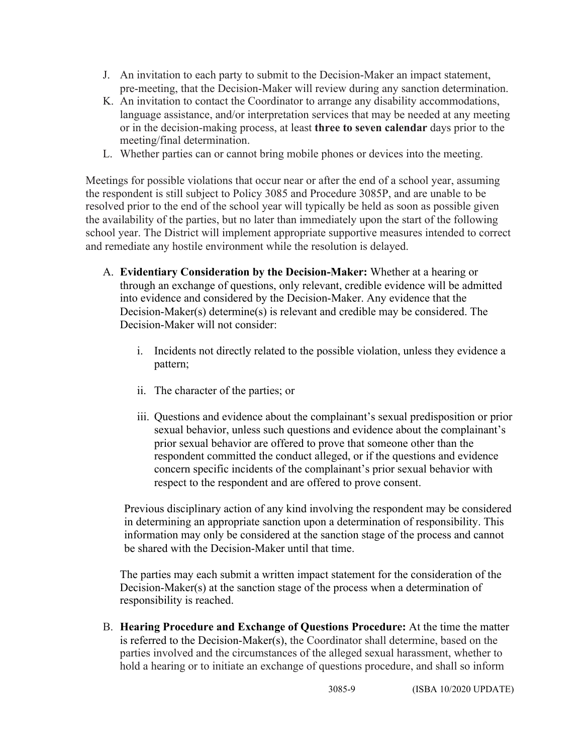- J. An invitation to each party to submit to the Decision-Maker an impact statement, pre-meeting, that the Decision-Maker will review during any sanction determination.
- K. An invitation to contact the Coordinator to arrange any disability accommodations, language assistance, and/or interpretation services that may be needed at any meeting or in the decision-making process, at least **three to seven calendar** days prior to the meeting/final determination.
- L. Whether parties can or cannot bring mobile phones or devices into the meeting.

Meetings for possible violations that occur near or after the end of a school year, assuming the respondent is still subject to Policy 3085 and Procedure 3085P, and are unable to be resolved prior to the end of the school year will typically be held as soon as possible given the availability of the parties, but no later than immediately upon the start of the following school year. The District will implement appropriate supportive measures intended to correct and remediate any hostile environment while the resolution is delayed.

- A. **Evidentiary Consideration by the Decision-Maker:** Whether at a hearing or through an exchange of questions, only relevant, credible evidence will be admitted into evidence and considered by the Decision-Maker. Any evidence that the Decision-Maker(s) determine(s) is relevant and credible may be considered. The Decision-Maker will not consider:
	- i. Incidents not directly related to the possible violation, unless they evidence a pattern;
	- ii. The character of the parties; or
	- iii. Questions and evidence about the complainant's sexual predisposition or prior sexual behavior, unless such questions and evidence about the complainant's prior sexual behavior are offered to prove that someone other than the respondent committed the conduct alleged, or if the questions and evidence concern specific incidents of the complainant's prior sexual behavior with respect to the respondent and are offered to prove consent.

Previous disciplinary action of any kind involving the respondent may be considered in determining an appropriate sanction upon a determination of responsibility. This information may only be considered at the sanction stage of the process and cannot be shared with the Decision-Maker until that time.

The parties may each submit a written impact statement for the consideration of the Decision-Maker(s) at the sanction stage of the process when a determination of responsibility is reached.

B. **Hearing Procedure and Exchange of Questions Procedure:** At the time the matter is referred to the Decision-Maker(s), the Coordinator shall determine, based on the parties involved and the circumstances of the alleged sexual harassment, whether to hold a hearing or to initiate an exchange of questions procedure, and shall so inform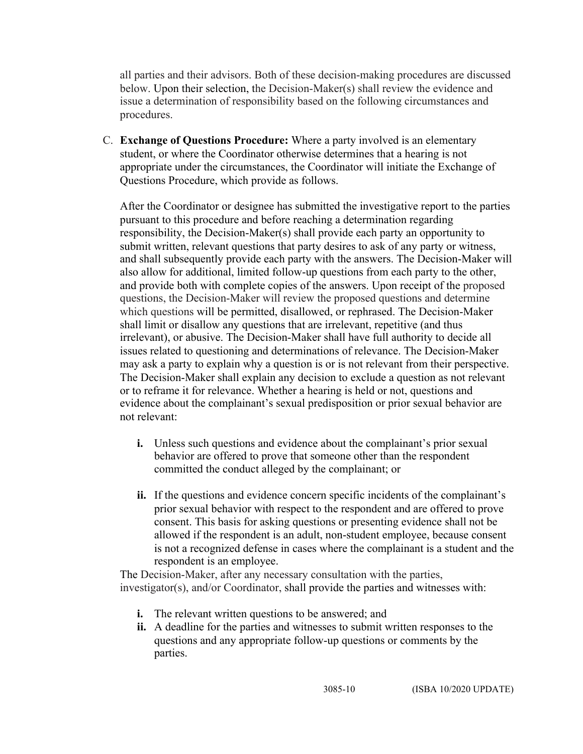all parties and their advisors. Both of these decision-making procedures are discussed below. Upon their selection, the Decision-Maker(s) shall review the evidence and issue a determination of responsibility based on the following circumstances and procedures.

C. **Exchange of Questions Procedure:** Where a party involved is an elementary student, or where the Coordinator otherwise determines that a hearing is not appropriate under the circumstances, the Coordinator will initiate the Exchange of Questions Procedure, which provide as follows.

After the Coordinator or designee has submitted the investigative report to the parties pursuant to this procedure and before reaching a determination regarding responsibility, the Decision-Maker(s) shall provide each party an opportunity to submit written, relevant questions that party desires to ask of any party or witness, and shall subsequently provide each party with the answers. The Decision-Maker will also allow for additional, limited follow-up questions from each party to the other, and provide both with complete copies of the answers. Upon receipt of the proposed questions, the Decision-Maker will review the proposed questions and determine which questions will be permitted, disallowed, or rephrased. The Decision-Maker shall limit or disallow any questions that are irrelevant, repetitive (and thus irrelevant), or abusive. The Decision-Maker shall have full authority to decide all issues related to questioning and determinations of relevance. The Decision-Maker may ask a party to explain why a question is or is not relevant from their perspective. The Decision-Maker shall explain any decision to exclude a question as not relevant or to reframe it for relevance. Whether a hearing is held or not, questions and evidence about the complainant's sexual predisposition or prior sexual behavior are not relevant:

- **i.** Unless such questions and evidence about the complainant's prior sexual behavior are offered to prove that someone other than the respondent committed the conduct alleged by the complainant; or
- **ii.** If the questions and evidence concern specific incidents of the complainant's prior sexual behavior with respect to the respondent and are offered to prove consent. This basis for asking questions or presenting evidence shall not be allowed if the respondent is an adult, non-student employee, because consent is not a recognized defense in cases where the complainant is a student and the respondent is an employee.

The Decision-Maker, after any necessary consultation with the parties, investigator(s), and/or Coordinator, shall provide the parties and witnesses with:

- **i.** The relevant written questions to be answered; and
- **ii.** A deadline for the parties and witnesses to submit written responses to the questions and any appropriate follow-up questions or comments by the parties.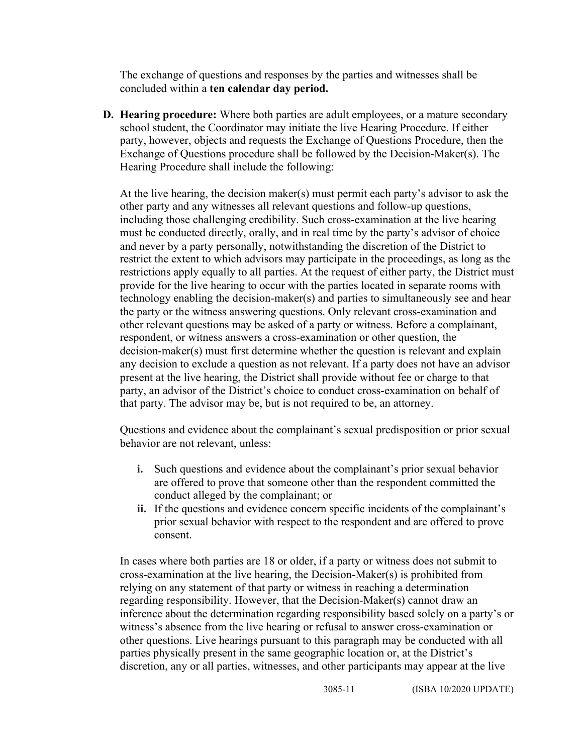The exchange of questions and responses by the parties and witnesses shall be concluded within a **ten calendar day period.**

**D. Hearing procedure:** Where both parties are adult employees, or a mature secondary school student, the Coordinator may initiate the live Hearing Procedure. If either party, however, objects and requests the Exchange of Questions Procedure, then the Exchange of Questions procedure shall be followed by the Decision-Maker(s). The Hearing Procedure shall include the following:

At the live hearing, the decision maker(s) must permit each party's advisor to ask the other party and any witnesses all relevant questions and follow-up questions, including those challenging credibility. Such cross-examination at the live hearing must be conducted directly, orally, and in real time by the party's advisor of choice and never by a party personally, notwithstanding the discretion of the District to restrict the extent to which advisors may participate in the proceedings, as long as the restrictions apply equally to all parties. At the request of either party, the District must provide for the live hearing to occur with the parties located in separate rooms with technology enabling the decision-maker(s) and parties to simultaneously see and hear the party or the witness answering questions. Only relevant cross-examination and other relevant questions may be asked of a party or witness. Before a complainant, respondent, or witness answers a cross-examination or other question, the decision-maker(s) must first determine whether the question is relevant and explain any decision to exclude a question as not relevant. If a party does not have an advisor present at the live hearing, the District shall provide without fee or charge to that party, an advisor of the District's choice to conduct cross-examination on behalf of that party. The advisor may be, but is not required to be, an attorney.

Questions and evidence about the complainant's sexual predisposition or prior sexual behavior are not relevant, unless:

- **i.** Such questions and evidence about the complainant's prior sexual behavior are offered to prove that someone other than the respondent committed the conduct alleged by the complainant; or
- **ii.** If the questions and evidence concern specific incidents of the complainant's prior sexual behavior with respect to the respondent and are offered to prove consent.

In cases where both parties are 18 or older, if a party or witness does not submit to cross-examination at the live hearing, the Decision-Maker(s) is prohibited from relying on any statement of that party or witness in reaching a determination regarding responsibility. However, that the Decision-Maker(s) cannot draw an inference about the determination regarding responsibility based solely on a party's or witness's absence from the live hearing or refusal to answer cross-examination or other questions. Live hearings pursuant to this paragraph may be conducted with all parties physically present in the same geographic location or, at the District's discretion, any or all parties, witnesses, and other participants may appear at the live

3085-11 (ISBA 10/2020 UPDATE)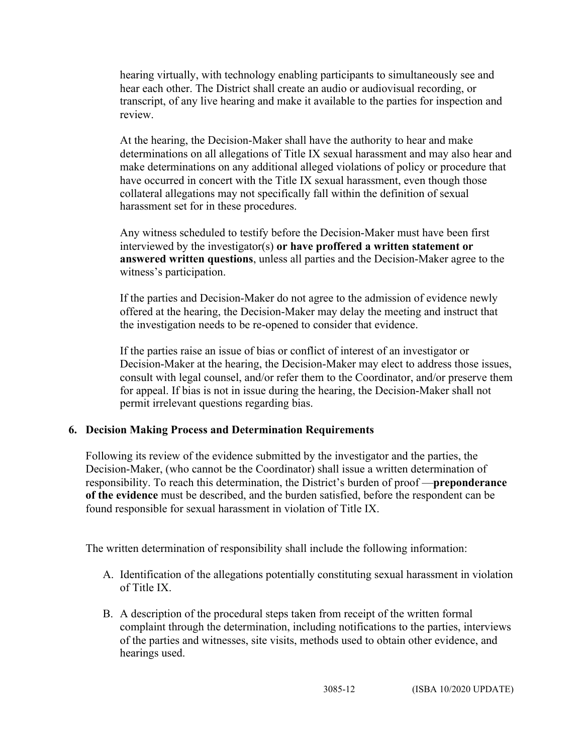hearing virtually, with technology enabling participants to simultaneously see and hear each other. The District shall create an audio or audiovisual recording, or transcript, of any live hearing and make it available to the parties for inspection and review.

At the hearing, the Decision-Maker shall have the authority to hear and make determinations on all allegations of Title IX sexual harassment and may also hear and make determinations on any additional alleged violations of policy or procedure that have occurred in concert with the Title IX sexual harassment, even though those collateral allegations may not specifically fall within the definition of sexual harassment set for in these procedures.

Any witness scheduled to testify before the Decision-Maker must have been first interviewed by the investigator(s) **or have proffered a written statement or answered written questions**, unless all parties and the Decision-Maker agree to the witness's participation.

If the parties and Decision-Maker do not agree to the admission of evidence newly offered at the hearing, the Decision-Maker may delay the meeting and instruct that the investigation needs to be re-opened to consider that evidence.

If the parties raise an issue of bias or conflict of interest of an investigator or Decision-Maker at the hearing, the Decision-Maker may elect to address those issues, consult with legal counsel, and/or refer them to the Coordinator, and/or preserve them for appeal. If bias is not in issue during the hearing, the Decision-Maker shall not permit irrelevant questions regarding bias.

### **6. Decision Making Process and Determination Requirements**

Following its review of the evidence submitted by the investigator and the parties, the Decision-Maker, (who cannot be the Coordinator) shall issue a written determination of responsibility. To reach this determination, the District's burden of proof —**preponderance of the evidence** must be described, and the burden satisfied, before the respondent can be found responsible for sexual harassment in violation of Title IX.

The written determination of responsibility shall include the following information:

- A. Identification of the allegations potentially constituting sexual harassment in violation of Title IX.
- B. A description of the procedural steps taken from receipt of the written formal complaint through the determination, including notifications to the parties, interviews of the parties and witnesses, site visits, methods used to obtain other evidence, and hearings used.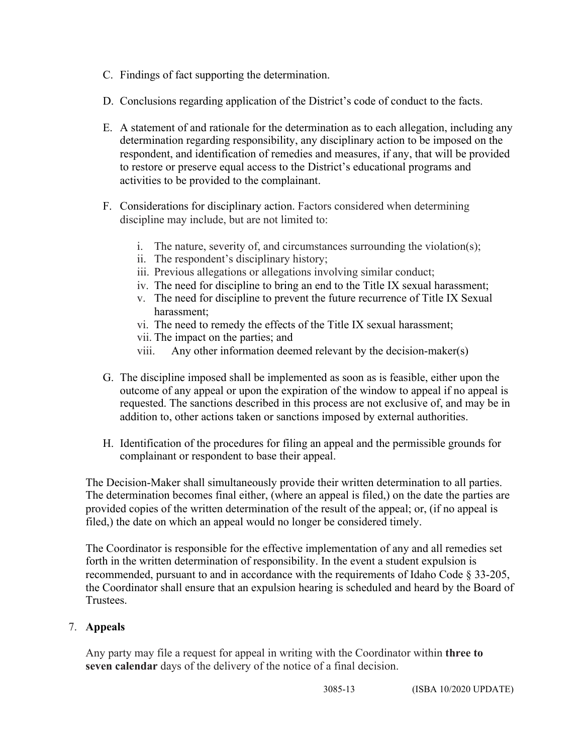- C. Findings of fact supporting the determination.
- D. Conclusions regarding application of the District's code of conduct to the facts.
- E. A statement of and rationale for the determination as to each allegation, including any determination regarding responsibility, any disciplinary action to be imposed on the respondent, and identification of remedies and measures, if any, that will be provided to restore or preserve equal access to the District's educational programs and activities to be provided to the complainant.
- F. Considerations for disciplinary action. Factors considered when determining discipline may include, but are not limited to:
	- i. The nature, severity of, and circumstances surrounding the violation(s);
	- ii. The respondent's disciplinary history;
	- iii. Previous allegations or allegations involving similar conduct;
	- iv. The need for discipline to bring an end to the Title IX sexual harassment;
	- v. The need for discipline to prevent the future recurrence of Title IX Sexual harassment;
	- vi. The need to remedy the effects of the Title IX sexual harassment;
	- vii. The impact on the parties; and
	- viii. Any other information deemed relevant by the decision-maker(s)
- G. The discipline imposed shall be implemented as soon as is feasible, either upon the outcome of any appeal or upon the expiration of the window to appeal if no appeal is requested. The sanctions described in this process are not exclusive of, and may be in addition to, other actions taken or sanctions imposed by external authorities.
- H. Identification of the procedures for filing an appeal and the permissible grounds for complainant or respondent to base their appeal.

The Decision-Maker shall simultaneously provide their written determination to all parties. The determination becomes final either, (where an appeal is filed,) on the date the parties are provided copies of the written determination of the result of the appeal; or, (if no appeal is filed,) the date on which an appeal would no longer be considered timely.

The Coordinator is responsible for the effective implementation of any and all remedies set forth in the written determination of responsibility. In the event a student expulsion is recommended, pursuant to and in accordance with the requirements of Idaho Code § 33-205, the Coordinator shall ensure that an expulsion hearing is scheduled and heard by the Board of **Trustees** 

### 7. **Appeals**

Any party may file a request for appeal in writing with the Coordinator within **three to seven calendar** days of the delivery of the notice of a final decision.

3085-13 (ISBA 10/2020 UPDATE)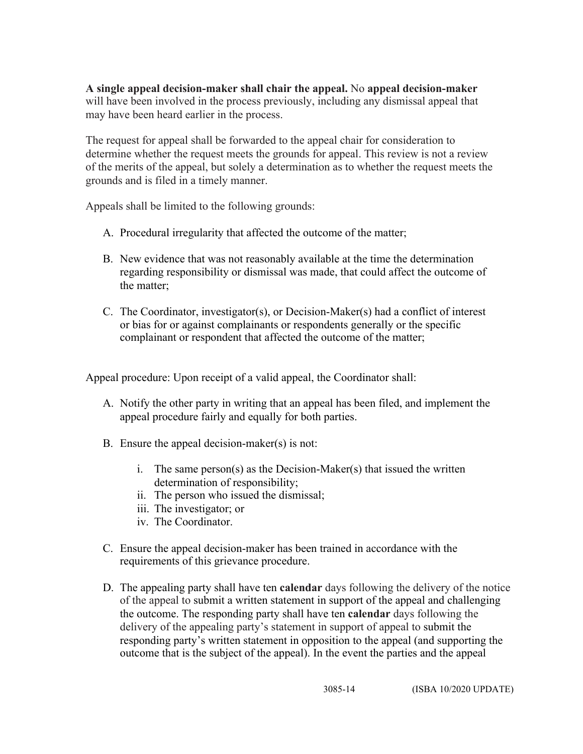**A single appeal decision-maker shall chair the appeal.** No **appeal decision-maker** will have been involved in the process previously, including any dismissal appeal that may have been heard earlier in the process.

The request for appeal shall be forwarded to the appeal chair for consideration to determine whether the request meets the grounds for appeal. This review is not a review of the merits of the appeal, but solely a determination as to whether the request meets the grounds and is filed in a timely manner.

Appeals shall be limited to the following grounds:

- A. Procedural irregularity that affected the outcome of the matter;
- B. New evidence that was not reasonably available at the time the determination regarding responsibility or dismissal was made, that could affect the outcome of the matter;
- C. The Coordinator, investigator(s), or Decision-Maker(s) had a conflict of interest or bias for or against complainants or respondents generally or the specific complainant or respondent that affected the outcome of the matter;

Appeal procedure: Upon receipt of a valid appeal, the Coordinator shall:

- A. Notify the other party in writing that an appeal has been filed, and implement the appeal procedure fairly and equally for both parties.
- B. Ensure the appeal decision-maker(s) is not:
	- i. The same person(s) as the Decision-Maker(s) that issued the written determination of responsibility;
	- ii. The person who issued the dismissal;
	- iii. The investigator; or
	- iv. The Coordinator.
- C. Ensure the appeal decision-maker has been trained in accordance with the requirements of this grievance procedure.
- D. The appealing party shall have ten **calendar** days following the delivery of the notice of the appeal to submit a written statement in support of the appeal and challenging the outcome. The responding party shall have ten **calendar** days following the delivery of the appealing party's statement in support of appeal to submit the responding party's written statement in opposition to the appeal (and supporting the outcome that is the subject of the appeal). In the event the parties and the appeal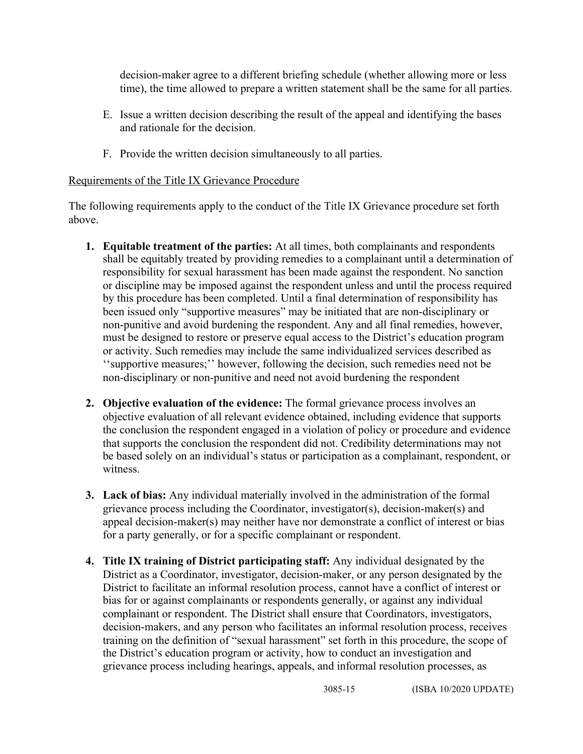decision-maker agree to a different briefing schedule (whether allowing more or less time), the time allowed to prepare a written statement shall be the same for all parties.

- E. Issue a written decision describing the result of the appeal and identifying the bases and rationale for the decision.
- F. Provide the written decision simultaneously to all parties.

### Requirements of the Title IX Grievance Procedure

The following requirements apply to the conduct of the Title IX Grievance procedure set forth above.

- **1. Equitable treatment of the parties:** At all times, both complainants and respondents shall be equitably treated by providing remedies to a complainant until a determination of responsibility for sexual harassment has been made against the respondent. No sanction or discipline may be imposed against the respondent unless and until the process required by this procedure has been completed. Until a final determination of responsibility has been issued only "supportive measures" may be initiated that are non-disciplinary or non-punitive and avoid burdening the respondent. Any and all final remedies, however, must be designed to restore or preserve equal access to the District's education program or activity. Such remedies may include the same individualized services described as ''supportive measures;'' however, following the decision, such remedies need not be non-disciplinary or non-punitive and need not avoid burdening the respondent
- **2. Objective evaluation of the evidence:** The formal grievance process involves an objective evaluation of all relevant evidence obtained, including evidence that supports the conclusion the respondent engaged in a violation of policy or procedure and evidence that supports the conclusion the respondent did not. Credibility determinations may not be based solely on an individual's status or participation as a complainant, respondent, or witness.
- **3. Lack of bias:** Any individual materially involved in the administration of the formal grievance process including the Coordinator, investigator(s), decision-maker(s) and appeal decision-maker(s) may neither have nor demonstrate a conflict of interest or bias for a party generally, or for a specific complainant or respondent.
- **4. Title IX training of District participating staff:** Any individual designated by the District as a Coordinator, investigator, decision-maker, or any person designated by the District to facilitate an informal resolution process, cannot have a conflict of interest or bias for or against complainants or respondents generally, or against any individual complainant or respondent. The District shall ensure that Coordinators, investigators, decision-makers, and any person who facilitates an informal resolution process, receives training on the definition of "sexual harassment" set forth in this procedure, the scope of the District's education program or activity, how to conduct an investigation and grievance process including hearings, appeals, and informal resolution processes, as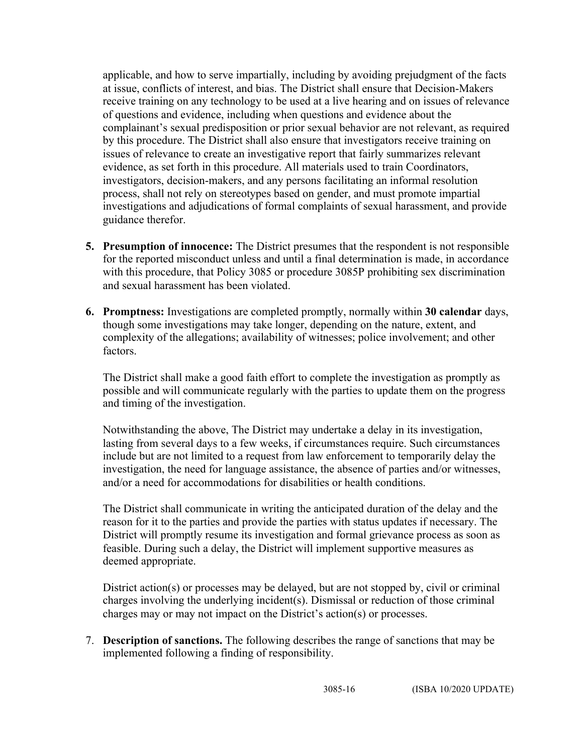applicable, and how to serve impartially, including by avoiding prejudgment of the facts at issue, conflicts of interest, and bias. The District shall ensure that Decision-Makers receive training on any technology to be used at a live hearing and on issues of relevance of questions and evidence, including when questions and evidence about the complainant's sexual predisposition or prior sexual behavior are not relevant, as required by this procedure. The District shall also ensure that investigators receive training on issues of relevance to create an investigative report that fairly summarizes relevant evidence, as set forth in this procedure. All materials used to train Coordinators, investigators, decision-makers, and any persons facilitating an informal resolution process, shall not rely on stereotypes based on gender, and must promote impartial investigations and adjudications of formal complaints of sexual harassment, and provide guidance therefor.

- **5. Presumption of innocence:** The District presumes that the respondent is not responsible for the reported misconduct unless and until a final determination is made, in accordance with this procedure, that Policy 3085 or procedure 3085P prohibiting sex discrimination and sexual harassment has been violated.
- **6. Promptness:** Investigations are completed promptly, normally within **30 calendar** days, though some investigations may take longer, depending on the nature, extent, and complexity of the allegations; availability of witnesses; police involvement; and other factors.

The District shall make a good faith effort to complete the investigation as promptly as possible and will communicate regularly with the parties to update them on the progress and timing of the investigation.

Notwithstanding the above, The District may undertake a delay in its investigation, lasting from several days to a few weeks, if circumstances require. Such circumstances include but are not limited to a request from law enforcement to temporarily delay the investigation, the need for language assistance, the absence of parties and/or witnesses, and/or a need for accommodations for disabilities or health conditions.

The District shall communicate in writing the anticipated duration of the delay and the reason for it to the parties and provide the parties with status updates if necessary. The District will promptly resume its investigation and formal grievance process as soon as feasible. During such a delay, the District will implement supportive measures as deemed appropriate.

District action(s) or processes may be delayed, but are not stopped by, civil or criminal charges involving the underlying incident(s). Dismissal or reduction of those criminal charges may or may not impact on the District's action(s) or processes.

7. **Description of sanctions.** The following describes the range of sanctions that may be implemented following a finding of responsibility.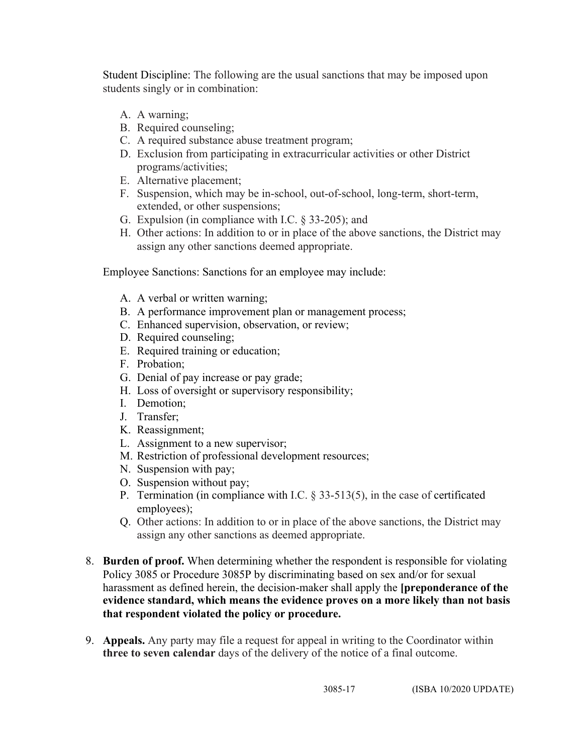Student Discipline: The following are the usual sanctions that may be imposed upon students singly or in combination:

- A. A warning;
- B. Required counseling;
- C. A required substance abuse treatment program;
- D. Exclusion from participating in extracurricular activities or other District programs/activities;
- E. Alternative placement;
- F. Suspension, which may be in-school, out-of-school, long-term, short-term, extended, or other suspensions;
- G. Expulsion (in compliance with I.C. § 33-205); and
- H. Other actions: In addition to or in place of the above sanctions, the District may assign any other sanctions deemed appropriate.

Employee Sanctions: Sanctions for an employee may include:

- A. A verbal or written warning;
- B. A performance improvement plan or management process;
- C. Enhanced supervision, observation, or review;
- D. Required counseling;
- E. Required training or education;
- F. Probation;
- G. Denial of pay increase or pay grade;
- H. Loss of oversight or supervisory responsibility;
- I. Demotion;
- J. Transfer;
- K. Reassignment;
- L. Assignment to a new supervisor;
- M. Restriction of professional development resources;
- N. Suspension with pay;
- O. Suspension without pay;
- P. Termination (in compliance with I.C. § 33-513(5), in the case of certificated employees);
- Q. Other actions: In addition to or in place of the above sanctions, the District may assign any other sanctions as deemed appropriate.
- 8. **Burden of proof.** When determining whether the respondent is responsible for violating Policy 3085 or Procedure 3085P by discriminating based on sex and/or for sexual harassment as defined herein, the decision-maker shall apply the **[preponderance of the evidence standard, which means the evidence proves on a more likely than not basis that respondent violated the policy or procedure.**
- 9. **Appeals.** Any party may file a request for appeal in writing to the Coordinator within **three to seven calendar** days of the delivery of the notice of a final outcome.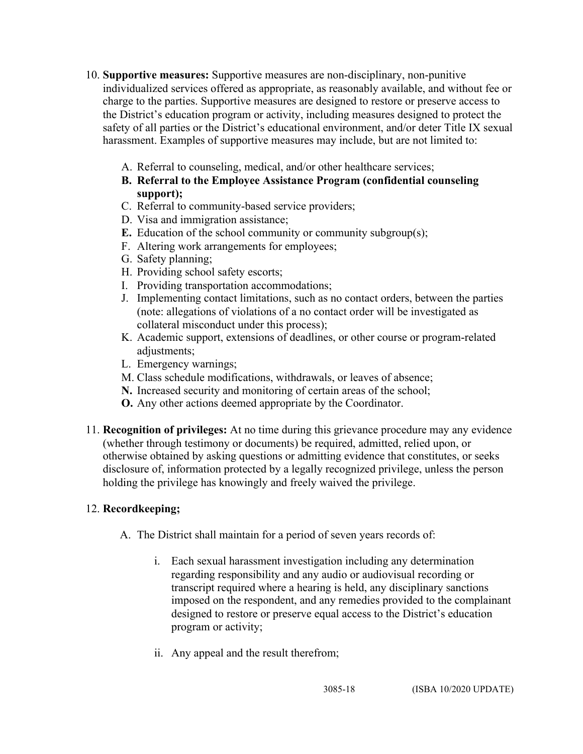- 10. **Supportive measures:** Supportive measures are non-disciplinary, non-punitive individualized services offered as appropriate, as reasonably available, and without fee or charge to the parties. Supportive measures are designed to restore or preserve access to the District's education program or activity, including measures designed to protect the safety of all parties or the District's educational environment, and/or deter Title IX sexual harassment. Examples of supportive measures may include, but are not limited to:
	- A. Referral to counseling, medical, and/or other healthcare services;
	- **B. Referral to the Employee Assistance Program (confidential counseling support);**
	- C. Referral to community-based service providers;
	- D. Visa and immigration assistance;
	- **E.** Education of the school community or community subgroup(s);
	- F. Altering work arrangements for employees;
	- G. Safety planning;
	- H. Providing school safety escorts;
	- I. Providing transportation accommodations;
	- J. Implementing contact limitations, such as no contact orders, between the parties (note: allegations of violations of a no contact order will be investigated as collateral misconduct under this process);
	- K. Academic support, extensions of deadlines, or other course or program-related adjustments;
	- L. Emergency warnings;
	- M. Class schedule modifications, withdrawals, or leaves of absence;
	- **N.** Increased security and monitoring of certain areas of the school;
	- **O.** Any other actions deemed appropriate by the Coordinator.
- 11. **Recognition of privileges:** At no time during this grievance procedure may any evidence (whether through testimony or documents) be required, admitted, relied upon, or otherwise obtained by asking questions or admitting evidence that constitutes, or seeks disclosure of, information protected by a legally recognized privilege, unless the person holding the privilege has knowingly and freely waived the privilege.

# 12. **Recordkeeping;**

- A. The District shall maintain for a period of seven years records of:
	- i. Each sexual harassment investigation including any determination regarding responsibility and any audio or audiovisual recording or transcript required where a hearing is held, any disciplinary sanctions imposed on the respondent, and any remedies provided to the complainant designed to restore or preserve equal access to the District's education program or activity;
	- ii. Any appeal and the result therefrom;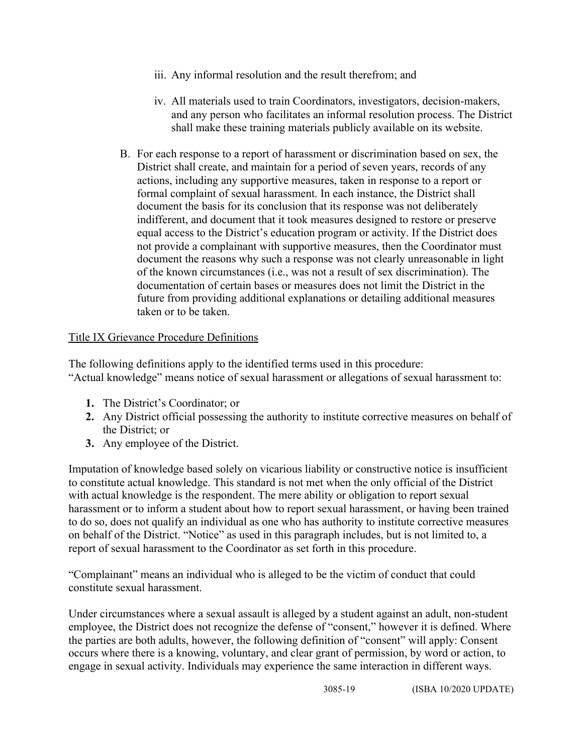- iii. Any informal resolution and the result therefrom; and
- iv. All materials used to train Coordinators, investigators, decision-makers, and any person who facilitates an informal resolution process. The District shall make these training materials publicly available on its website.
- B. For each response to a report of harassment or discrimination based on sex, the District shall create, and maintain for a period of seven years, records of any actions, including any supportive measures, taken in response to a report or formal complaint of sexual harassment. In each instance, the District shall document the basis for its conclusion that its response was not deliberately indifferent, and document that it took measures designed to restore or preserve equal access to the District's education program or activity. If the District does not provide a complainant with supportive measures, then the Coordinator must document the reasons why such a response was not clearly unreasonable in light of the known circumstances (i.e., was not a result of sex discrimination). The documentation of certain bases or measures does not limit the District in the future from providing additional explanations or detailing additional measures taken or to be taken.

# Title IX Grievance Procedure Definitions

The following definitions apply to the identified terms used in this procedure: "Actual knowledge" means notice of sexual harassment or allegations of sexual harassment to:

- **1.** The District's Coordinator; or
- **2.** Any District official possessing the authority to institute corrective measures on behalf of the District; or
- **3.** Any employee of the District.

Imputation of knowledge based solely on vicarious liability or constructive notice is insufficient to constitute actual knowledge. This standard is not met when the only official of the District with actual knowledge is the respondent. The mere ability or obligation to report sexual harassment or to inform a student about how to report sexual harassment, or having been trained to do so, does not qualify an individual as one who has authority to institute corrective measures on behalf of the District. "Notice" as used in this paragraph includes, but is not limited to, a report of sexual harassment to the Coordinator as set forth in this procedure.

"Complainant" means an individual who is alleged to be the victim of conduct that could constitute sexual harassment.

Under circumstances where a sexual assault is alleged by a student against an adult, non-student employee, the District does not recognize the defense of "consent," however it is defined. Where the parties are both adults, however, the following definition of "consent" will apply: Consent occurs where there is a knowing, voluntary, and clear grant of permission, by word or action, to engage in sexual activity. Individuals may experience the same interaction in different ways.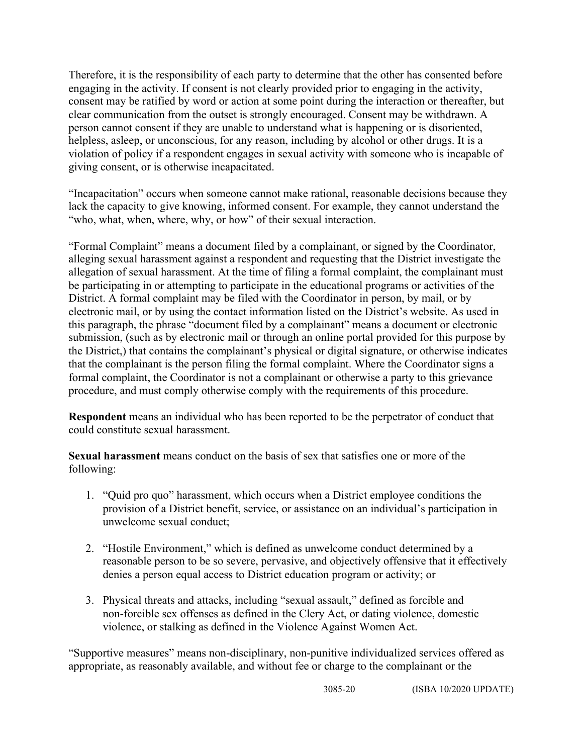Therefore, it is the responsibility of each party to determine that the other has consented before engaging in the activity. If consent is not clearly provided prior to engaging in the activity, consent may be ratified by word or action at some point during the interaction or thereafter, but clear communication from the outset is strongly encouraged. Consent may be withdrawn. A person cannot consent if they are unable to understand what is happening or is disoriented, helpless, asleep, or unconscious, for any reason, including by alcohol or other drugs. It is a violation of policy if a respondent engages in sexual activity with someone who is incapable of giving consent, or is otherwise incapacitated.

"Incapacitation" occurs when someone cannot make rational, reasonable decisions because they lack the capacity to give knowing, informed consent. For example, they cannot understand the "who, what, when, where, why, or how" of their sexual interaction.

"Formal Complaint" means a document filed by a complainant, or signed by the Coordinator, alleging sexual harassment against a respondent and requesting that the District investigate the allegation of sexual harassment. At the time of filing a formal complaint, the complainant must be participating in or attempting to participate in the educational programs or activities of the District. A formal complaint may be filed with the Coordinator in person, by mail, or by electronic mail, or by using the contact information listed on the District's website. As used in this paragraph, the phrase "document filed by a complainant" means a document or electronic submission, (such as by electronic mail or through an online portal provided for this purpose by the District,) that contains the complainant's physical or digital signature, or otherwise indicates that the complainant is the person filing the formal complaint. Where the Coordinator signs a formal complaint, the Coordinator is not a complainant or otherwise a party to this grievance procedure, and must comply otherwise comply with the requirements of this procedure.

**Respondent** means an individual who has been reported to be the perpetrator of conduct that could constitute sexual harassment.

**Sexual harassment** means conduct on the basis of sex that satisfies one or more of the following:

- 1. "Quid pro quo" harassment, which occurs when a District employee conditions the provision of a District benefit, service, or assistance on an individual's participation in unwelcome sexual conduct;
- 2. "Hostile Environment," which is defined as unwelcome conduct determined by a reasonable person to be so severe, pervasive, and objectively offensive that it effectively denies a person equal access to District education program or activity; or
- 3. Physical threats and attacks, including "sexual assault," defined as forcible and non-forcible sex offenses as defined in the Clery Act, or dating violence, domestic violence, or stalking as defined in the Violence Against Women Act.

"Supportive measures" means non-disciplinary, non-punitive individualized services offered as appropriate, as reasonably available, and without fee or charge to the complainant or the